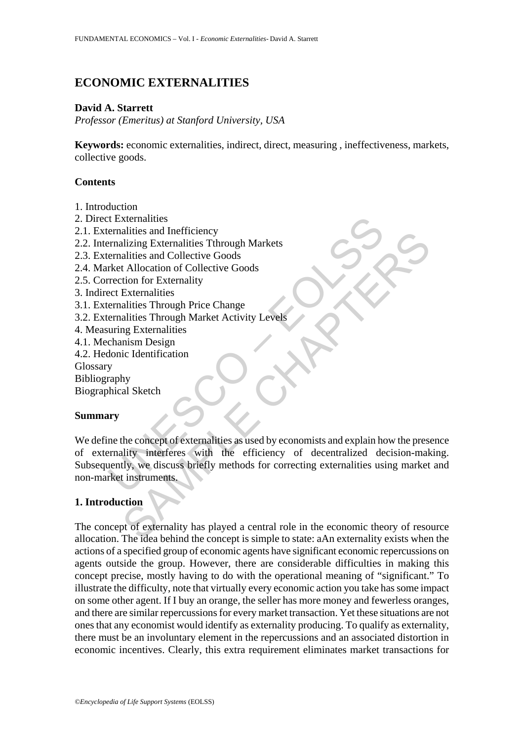# **ECONOMIC EXTERNALITIES**

#### **David A. Starrett**

*Professor (Emeritus) at Stanford University, USA* 

**Keywords:** economic externalities, indirect, direct, measuring , ineffectiveness, markets, collective goods.

#### **Contents**

- 1. Introduction
- 2. Direct Externalities
- 2.1. Externalities and Inefficiency
- 2.2. Internalizing Externalities Tthrough Markets
- 2.3. Externalities and Collective Goods
- 2.4. Market Allocation of Collective Goods
- 2.5. Correction for Externality
- 3. Indirect Externalities
- 3.1. Externalities Through Price Change
- 3.2. Externalities Through Market Activity Levels
- 4. Measuring Externalities
- 4.1. Mechanism Design
- 4.2. Hedonic Identification
- Glossary

Bibliography

Biographical Sketch

# **Summary**

Externalities<br>
ernalities and Inefficiency<br>
ernalities and Collective Goods<br>
recentralities Through Markets<br>
ernalities and Collective Goods<br>
rection for Externality<br>
ect Externalities<br>
ernalities Through Price Change<br>
ern alutes and metricency<br>alizing Externalities Through Markets<br>aliting Externalities Through Markets<br>alities and Collective Goods<br>to the Allocation of Collective Goods<br>is externalities<br>alities Through Price Change<br>alities Thr We define the concept of externalities as used by economists and explain how the presence of externality interferes with the efficiency of decentralized decision-making. Subsequently, we discuss briefly methods for correcting externalities using market and non-market instruments.

# **1. Introduction**

The concept of externality has played a central role in the economic theory of resource allocation. The idea behind the concept is simple to state: aAn externality exists when the actions of a specified group of economic agents have significant economic repercussions on agents outside the group. However, there are considerable difficulties in making this concept precise, mostly having to do with the operational meaning of "significant." To illustrate the difficulty, note that virtually every economic action you take has some impact on some other agent. If I buy an orange, the seller has more money and fewerless oranges, and there are similar repercussions for every market transaction. Yet these situations are not ones that any economist would identify as externality producing. To qualify as externality, there must be an involuntary element in the repercussions and an associated distortion in economic incentives. Clearly, this extra requirement eliminates market transactions for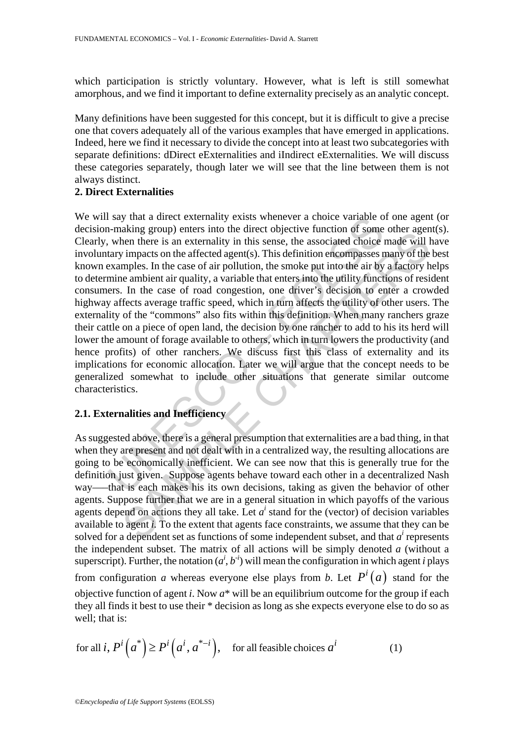which participation is strictly voluntary. However, what is left is still somewhat amorphous, and we find it important to define externality precisely as an analytic concept.

Many definitions have been suggested for this concept, but it is difficult to give a precise one that covers adequately all of the various examples that have emerged in applications. Indeed, here we find it necessary to divide the concept into at least two subcategories with separate definitions: dDirect eExternalities and iIndirect eExternalities. We will discuss these categories separately, though later we will see that the line between them is not always distinct.

# **2. Direct Externalities**

Say that a direct externality exists whenever a choice variable of some the n-making group) enters into the direct objective function of some when there is an externality in this sense, the associated choice tary impacts o aling group) chents into the metrological to the metrol of some onter a geometric mean there is an externality in this sense, the associated choice made will I impacts on the affected agent(s). This definition encompasses We will say that a direct externality exists whenever a choice variable of one agent (or decision-making group) enters into the direct objective function of some other agent(s). Clearly, when there is an externality in this sense, the associated choice made will have involuntary impacts on the affected agent(s). This definition encompasses many of the best known examples. In the case of air pollution, the smoke put into the air by a factory helps to determine ambient air quality, a variable that enters into the utility functions of resident consumers. In the case of road congestion, one driver's decision to enter a crowded highway affects average traffic speed, which in turn affects the utility of other users. The externality of the "commons" also fits within this definition. When many ranchers graze their cattle on a piece of open land, the decision by one rancher to add to his its herd will lower the amount of forage available to others, which in turn lowers the productivity (and hence profits) of other ranchers. We discuss first this class of externality and its implications for economic allocation. Later we will argue that the concept needs to be generalized somewhat to include other situations that generate similar outcome characteristics.

# **2.1. Externalities and Inefficiency**

As suggested above, there is a general presumption that externalities are a bad thing, in that when they are present and not dealt with in a centralized way, the resulting allocations are going to be economically inefficient. We can see now that this is generally true for the definition just given. Suppose agents behave toward each other in a decentralized Nash way—–that is each makes his its own decisions, taking as given the behavior of other agents. Suppose further that we are in a general situation in which payoffs of the various agents depend on actions they all take. Let  $a^i$  stand for the (vector) of decision variables available to agent *i.* To the extent that agents face constraints, we assume that they can be solved for a dependent set as functions of some independent subset, and that  $a^i$  represents the independent subset. The matrix of all actions will be simply denoted *a* (without a superscript). Further, the notation  $(a^i, b^{-i})$  will mean the configuration in which agent *i* plays from configuration *a* whereas everyone else plays from *b*. Let  $P^{i}(a)$  stand for the objective function of agent *i*. Now *a*\* will be an equilibrium outcome for the group if each they all finds it best to use their \* decision as long as she expects everyone else to do so as well; that is:

for all *i*, 
$$
P^{i}(a^{*}) \ge P^{i}(a^{i}, a^{*-i})
$$
, for all feasible choices  $a^{i}$  (1)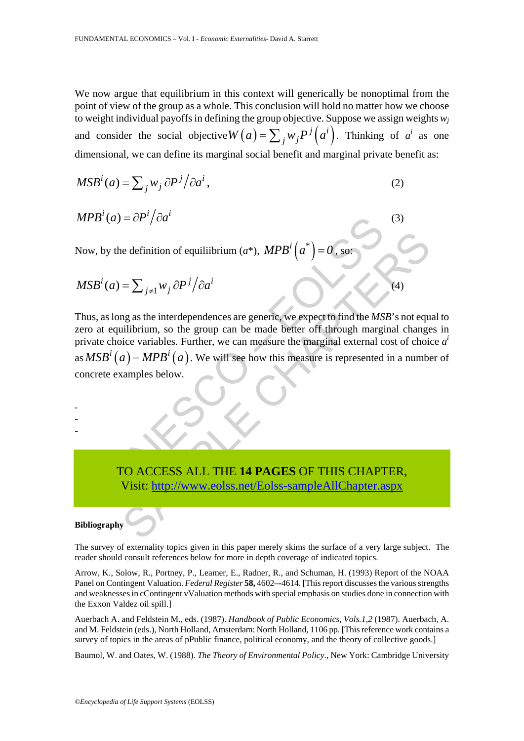We now argue that equilibrium in this context will generically be nonoptimal from the point of view of the group as a whole. This conclusion will hold no matter how we choose to weight individual payoffs in defining the group objective. Suppose we assign weights *wj* and consider the social objective  $W(a) = \sum_j w_j P^j(a^i)$ . Thinking of *a<sup>i</sup>* as one dimensional, we can define its marginal social benefit and marginal private benefit as:

$$
MSBi(a) = \sum_{j} w_{j} \partial P^{j} / \partial a^{i},
$$
\n(2)

$$
MPB^{i}(a) = \partial P^{i}/\partial a^{i}
$$
 (3)

Now, by the definition of equiliibrium ( $a^*$ ),  $MPB^i\left( a^* \right)$ 

$$
MSBi(a) = \sum_{j \neq 1} w_j \partial P^j / \partial a^i
$$
 (4)

(a) =  $\partial P' / \partial a'$ <br>
y the definition of equilibrium (a\*),  $MPB^{i}(a^{*}) = 0$ , so:<br>
(a) =  $\sum_{j\neq 1} w_j \partial P^{j}/\partial a^{i}$ <br>
slong as the interdependences are generic, we expect to find the *MS*<br>
equilibrium, so the group can be made e definition of equilibrium ( $a^*$ ), MPB<sup>i</sup>  $(a^*)$  = 0, so:<br>
=  $\sum_{j\neq 1} w_j \frac{\partial P^j}{\partial a^i}$ <br>
mg as the interdependences are generic, we expect to find the MSB's not equilibrium, so the group can be made better of through m Thus, as long as the interdependences are generic, we expect to find the *MSB*'s not equal to zero at equilibrium, so the group can be made better off through marginal changes in private choice variables. Further, we can measure the marginal external cost of choice *a i* as  $MSB^i(a) - MPB^i(a)$ . We will see how this measure is represented in a number of concrete examples below.

- -

-

# TO ACCESS ALL THE **14 PAGES** OF THIS CHAPTER, Visit: http://www.eolss.net/Eolss-sampleAllChapter.aspx

#### **Bibliography**

The survey of externality topics given in this paper merely skims the surface of a very large subject. The reader should consult references below for more in depth coverage of indicated topics.

Arrow, K., Solow, R., Portney, P., Leamer, E., Radner, R., and Schuman, H. (1993) Report of the NOAA Panel on Contingent Valuation. *Federal Register* **58,** 4602–-4614. [This report discusses the various strengths and weaknesses in cContingent vValuation methods with special emphasis on studies done in connection with the Exxon Valdez oil spill.]

Auerbach A. and Feldstein M., eds. (1987). *Handbook of Public Economics, Vols.1,2* (1987). Auerbach, A. and M. Feldstein (eds.), North Holland, Amsterdam: North Holland, 1106 pp. [This reference work contains a survey of topics in the areas of pPublic finance, political economy, and the theory of collective goods.]

Baumol, W. and Oates, W. (1988). *The Theory of Environmental Policy*., New York: Cambridge University